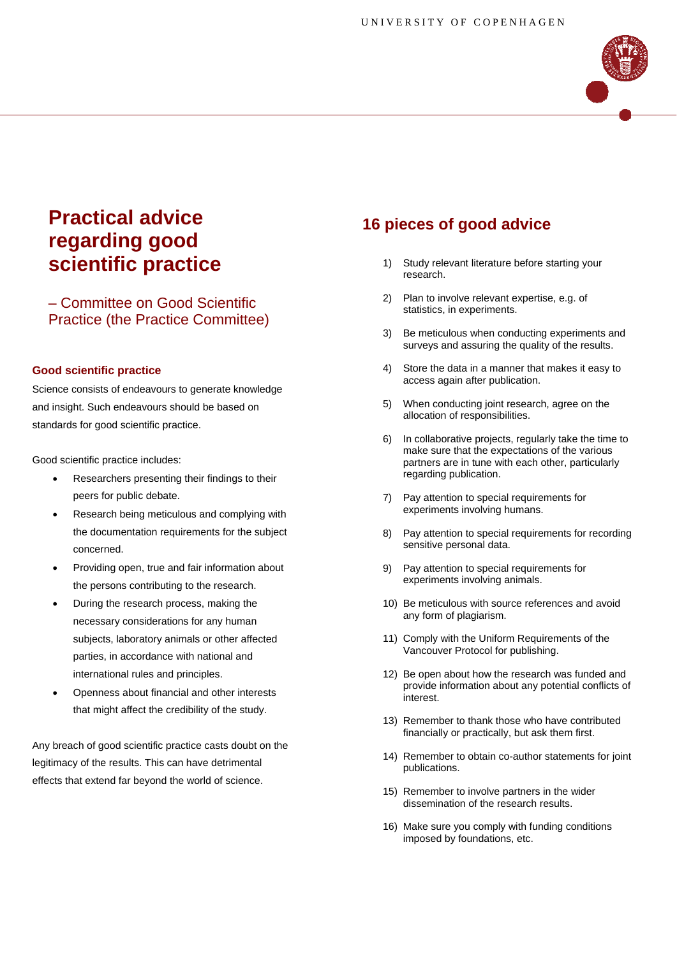

# **Practical advice regarding good scientific practice**

– Committee on Good Scientific Practice (the Practice Committee)

#### **Good scientific practice**

Science consists of endeavours to generate knowledge and insight. Such endeavours should be based on standards for good scientific practice.

Good scientific practice includes:

- Researchers presenting their findings to their peers for public debate.
- Research being meticulous and complying with the documentation requirements for the subject concerned.
- Providing open, true and fair information about the persons contributing to the research.
- During the research process, making the necessary considerations for any human subjects, laboratory animals or other affected parties, in accordance with national and international rules and principles.
- Openness about financial and other interests that might affect the credibility of the study.

Any breach of good scientific practice casts doubt on the legitimacy of the results. This can have detrimental effects that extend far beyond the world of science.

## **16 pieces of good advice**

- 1) Study relevant literature before starting your research.
- 2) Plan to involve relevant expertise, e.g. of statistics, in experiments.
- 3) Be meticulous when conducting experiments and surveys and assuring the quality of the results.
- 4) Store the data in a manner that makes it easy to access again after publication.
- 5) When conducting joint research, agree on the allocation of responsibilities.
- 6) In collaborative projects, regularly take the time to make sure that the expectations of the various partners are in tune with each other, particularly regarding publication.
- 7) Pay attention to special requirements for experiments involving humans.
- 8) Pay attention to special requirements for recording sensitive personal data.
- 9) Pay attention to special requirements for experiments involving animals.
- 10) Be meticulous with source references and avoid any form of plagiarism.
- 11) Comply with the Uniform Requirements of the Vancouver Protocol for publishing.
- 12) Be open about how the research was funded and provide information about any potential conflicts of interest.
- 13) Remember to thank those who have contributed financially or practically, but ask them first.
- 14) Remember to obtain co-author statements for joint publications.
- 15) Remember to involve partners in the wider dissemination of the research results.
- 16) Make sure you comply with funding conditions imposed by foundations, etc.